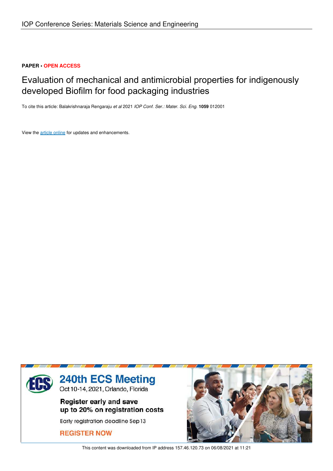### **PAPER • OPEN ACCESS**

# Evaluation of mechanical and antimicrobial properties for indigenously developed Biofilm for food packaging industries

To cite this article: Balakrishnaraja Rengaraju *et al* 2021 *IOP Conf. Ser.: Mater. Sci. Eng.* **1059** 012001

View the article online for updates and enhancements.



This content was downloaded from IP address 157.46.120.73 on 06/08/2021 at 11:21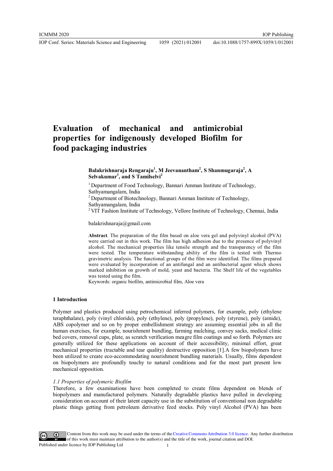## **Evaluation of mechanical and antimicrobial properties for indigenously developed Biofilm for food packaging industries**

**Balakrishnaraja Rengaraju<sup>1</sup> , M Jeevanantham<sup>2</sup> , S Shanmugaraja<sup>2</sup> , A Selvakumar<sup>3</sup> , and S Tamilselvi<sup>2</sup>**

<sup>1</sup> Department of Food Technology, Bannari Amman Institute of Technology, Sathyamangalam, India

<sup>2</sup> Department of Biotechnology, Bannari Amman Institute of Technology, Sathyamangalam, India

 $2$  VIT Fashion Institute of Technology, Vellore Institute of Technology, Chennai, India

balakrishnaraja@gmail.com

**Abstract**. The preparation of the film based on aloe vera gel and polyvinyl alcohol (PVA) were carried out in this work. The film has high adhesion due to the presence of polyvinyl alcohol. The mechanical properties like tensile strength and the transparency of the film were tested. The temperature withstanding ability of the film is tested with Thermo gravimetric analysis. The functional groups of the film were identified. The films prepared were evaluated by incorporation of an antifungal and an antibacterial agent which shows marked inhibition on growth of mold, yeast and bacteria. The Shelf life of the vegetables was tested using the film.

Keywords: organic biofilm, antimicrobial film, Aloe vera

#### **1 Introduction**

Polymer and plastics produced using petrochemical inferred polymers, for example, poly (ethylene teraphthalate), poly (vinyl chloride), poly (ethylene), poly (propylene), poly (styrene), poly (amide), ABS copolymer and so on by proper embellishment strategy are assuming essential jobs in all the human exercises, for example, nourishment bundling, farming mulching, convey sacks, medical clinic bed covers, removal cups, plate, as scratch verification meagre film coatings and so forth. Polymers are generally utilized for these applications on account of their accessibility, minimal effort, great mechanical properties (tractable and tear quality) destructive opposition [1].A few biopolymers have been utilized to create eco-accommodating nourishment bundling materials. Usually, films dependent on biopolymers are profoundly touchy to natural conditions and for the most part present low mechanical opposition.

#### *1.1 Properties of polymeric Biofilm*

Therefore, a few examinations have been completed to create films dependent on blends of biopolymers and manufactured polymers. Naturally degradable plastics have pulled in developing consideration on account of their latent capacity use in the substitution of conventional non degradable plastic things getting from petroleum derivative feed stocks. Poly vinyl Alcohol (PVA) has been

Content from this work may be used under the terms of theCreative Commons Attribution 3.0 licence. Any further distribution of this work must maintain attribution to the author(s) and the title of the work, journal citation and DOI. Published under licence by IOP Publishing Ltd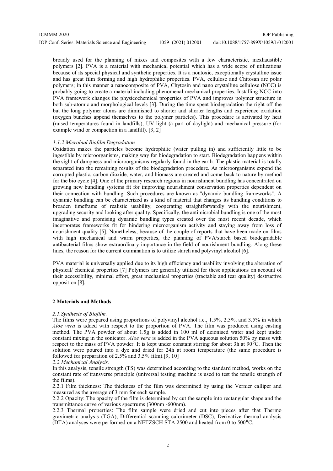IOP Conf. Series: Materials Science and Engineering 1059 (2021) 012001 doi:10.1088/1757-899X/1059/1/012001

broadly used for the planning of mixes and composites with a few characteristic, inexhaustible polymers [2]. PVA is a material with mechanical potential which has a wide scope of utilizations because of its special physical and synthetic properties. It is a nontoxic, exceptionally crystalline issue and has great film forming and high hydrophilic properties. PVA, cellulose and Chitosan are polar polymers; in this manner a nanocomposite of PVA, Chytosin and nano crystalline cellulose (NCC) is probably going to create a material including phenomenal mechanical properties. Installing NCC into PVA framework changes the physicochemical properties of PVA and improves polymer structure in both sub-atomic and morphological levels [3]. During the time spent biodegradation the right off the bat the long polymer atoms are diminished to shorter and shorter lengths and experience oxidation (oxygen bunches append themselves to the polymer particles). This procedure is activated by heat (raised temperatures found in landfills), UV light (a part of daylight) and mechanical pressure (for example wind or compaction in a landfill). [3, 2]

#### *1.1.2 Microbial Biofilm Degradation*

Oxidation makes the particles become hydrophilic (water pulling in) and sufficiently little to be ingestible by microorganisms, making way for biodegradation to start. Biodegradation happens within the sight of dampness and microorganisms regularly found in the earth. The plastic material is totally separated into the remaining results of the biodegradation procedure. As microorganisms expend the corrupted plastic, carbon dioxide, water, and biomass are created and come back to nature by method for the bio cycle [4]. One of the primary research regions in nourishment bundling has concentrated on growing new bundling systems fit for improving nourishment conservation properties dependent on their connection with bundling. Such procedures are known as "dynamic bundling frameworks". A dynamic bundling can be characterized as a kind of material that changes its bundling conditions to broaden timeframe of realistic usability, cooperating straightforwardly with the nourishment, upgrading security and looking after quality. Specifically, the antimicrobial bundling is one of the most imaginative and promising dynamic bundling types created over the most recent decade, which incorporates frameworks fit for hindering microorganism activity and staying away from loss of nourishment quality [5]. Nonetheless, because of the couple of reports that have been made on films with high mechanical and warm properties, the planning of PVA/starch based biodegradable antibacterial films show extraordinary importance in the field of nourishment bundling. Along these lines, the reason for the current examination is to utilize starch and polyvinyl alcohol [6].

PVA material is universally applied due to its high efficiency and usability involving the alteration of physical/ chemical properties [7] Polymers are generally utilized for these applications on account of their accessibility, minimal effort, great mechanical properties (tractable and tear quality) destructive opposition [8].

#### **2 Materials and Methods**

#### *2.1.Synthesis of Biofilm.*

The films were prepared using proportions of polyvinyl alcohol i.e., 1.5%, 2.5%, and 3.5% in which *Aloe vera* is added with respect to the proportion of PVA. The film was produced using casting method. The PVA powder of about 1.5g is added in 100 ml of deionised water and kept under constant mixing in the sonicator. *Aloe vera* is added in the PVA aqueous solution 50% by mass with respect to the mass of PVA powder. It is kept under constant stirring for about 3h at  $90^{\circ}$ C. Then the solution were poured into a dye and dried for 24h at room temperature (the same procedure is followed for preparation of 2.5% and 3.5% film).[9, 10]

*2.2.Mechanical Analysis.* 

In this analysis, tensile strength (TS) was determined according to the standard method, works on the constant rate of transverse principle (universal testing machine is used to test the tensile strength of the films).

2.2.1 Film thickness: The thickness of the film was determined by using the Vernier calliper and measured as the average of 3 mm for each sample.

2.2.2 Opacity: The opacity of the film is determined by cut the sample into rectangular shape and the transmittance curve of various spectrums (300nm -600nm).

2.2.3 Thermal properties: The film sample were dried and cut into pieces after that Thermo gravimetric analysis (TGA), Differential scanning calorimeter (DSC), Derivative thermal analysis (DTA) analyses were performed on a NETZSCH STA 2500 and heated from 0 to  $500^{\circ}$ C.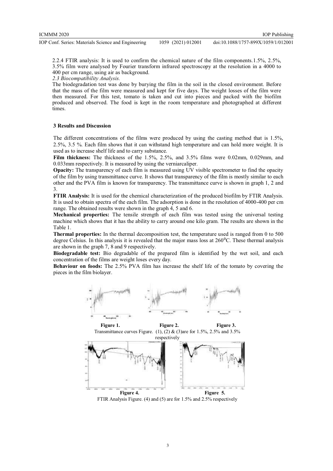IOP Conf. Series: Materials Science and Engineering 1059 (2021) 012001

doi:10.1088/1757-899X/1059/1/012001

2.2.4 FTIR analysis: It is used to confirm the chemical nature of the film components.1.5%, 2.5%, 3.5% film were analysed by Fourier transform infrared spectroscopy at the resolution in a 4000 to 400 per cm range, using air as background.

*2.3 Biocompatibility Analysis.* 

The biodegradation test was done by burying the film in the soil in the closed environment. Before that the mass of the film were measured and kept for five days. The weight losses of the film were then measured. For this test, tomato is taken and cut into pieces and packed with the biofilm produced and observed. The food is kept in the room temperature and photographed at different times.

#### **3 Results and Discussion**

The different concentrations of the films were produced by using the casting method that is 1.5%, 2.5%, 3.5 %. Each film shows that it can withstand high temperature and can hold more weight. It is used as to increase shelf life and to carry substance.

**Film thickness:** The thickness of the 1.5%, 2.5%, and 3.5% films were 0.02mm, 0.029mm, and 0.033mm respectively. It is measured by using the verniarcaliper.

**Opacity:** The transparency of each film is measured using UV visible spectrometer to find the opacity of the film by using transmittance curve. It shows that transparency of the film is mostly similar to each other and the PVA film is known for transparency. The transmittance curve is shown in graph 1, 2 and 3.

**FTIR Analysis:** It is used for the chemical characterization of the produced biofilm by FTIR Analysis. It is used to obtain spectra of the each film. The adsorption is done in the resolution of 4000-400 per cm range. The obtained results were shown in the graph 4, 5 and 6.

**Mechanical properties:** The tensile strength of each film was tested using the universal testing machine which shows that it has the ability to carry around one kilo gram. The results are shown in the Table 1.

**Thermal properties:** In the thermal decomposition test, the temperature used is ranged from 0 to 500 degree Celsius. In this analysis it is revealed that the major mass loss at  $260^{\circ}$ C. These thermal analysis are shown in the graph 7, 8 and 9 respectively.

**Biodegradable test:** Bio degradable of the prepared film is identified by the wet soil, and each concentration of the films are weight loses every day.

**Behaviour on foods:** The 2.5% PVA film has increase the shelf life of the tomato by covering the pieces in the film biolayer.



Figure 1. **Figure 2.** Figure 3. Transmittance curves Figure. (1), (2) & (3)are for 1.5%, 2.5% and 3.5%



FTIR Analysis Figure. (4) and (5) are for 1.5% and 2.5% respectively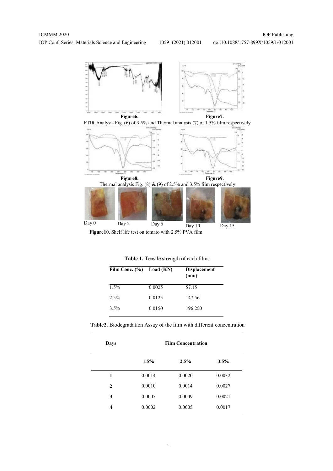IOP Conf. Series: Materials Science and Engineering 1059 (2021) 012001

doi:10.1088/1757-899X/1059/1/012001



**Figure10.** Shelf life test on tomato with 2.5% PVA film

**Table 1.** Tensile strength of each films

| Film Conc. $(\% )$ Load (KN) |        | <b>Displacement</b><br>(mm) |  |
|------------------------------|--------|-----------------------------|--|
| $1.5\%$                      | 0.0025 | 57.15                       |  |
| $2.5\%$                      | 0.0125 | 147.56                      |  |
| $3.5\%$                      | 0.0150 | 196.250                     |  |

**Table2.** Biodegradation Assay of the film with different concentration

| Days         | <b>Film Concentration</b> |        |        |
|--------------|---------------------------|--------|--------|
|              | $1.5\%$                   | 2.5%   | 3.5%   |
| 1            | 0.0014                    | 0.0020 | 0.0032 |
| $\mathbf{2}$ | 0.0010                    | 0.0014 | 0.0027 |
| 3            | 0.0005                    | 0.0009 | 0.0021 |
| 4            | 0.0002                    | 0.0005 | 0.0017 |